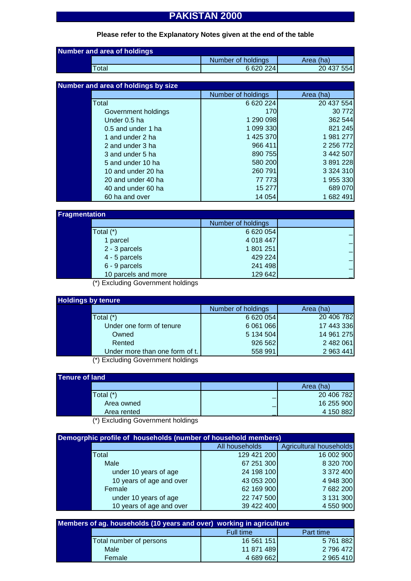# **PAKISTAN 2000**

## **Please refer to the Explanatory Notes given at the end of the table**

| Number and area of holdings |                    |            |  |
|-----------------------------|--------------------|------------|--|
|                             | Number of holdings | Area (ha)  |  |
| $\tau$ otal                 | 6 620 224          | 20 437 554 |  |

| Number and area of holdings by size |                     |                    |               |
|-------------------------------------|---------------------|--------------------|---------------|
|                                     |                     | Number of holdings | Area (ha)     |
|                                     | Total               | 6 620 224          | 20 437 554    |
|                                     | Government holdings | <b>170</b>         | 30 772        |
|                                     | Under 0.5 ha        | 1 290 098          | 362 544       |
|                                     | 0.5 and under 1 ha  | 1 099 330          | 821 245       |
|                                     | 1 and under 2 ha    | 1 425 370          | 1 981 277     |
|                                     | 2 and under 3 ha    | 966 411            | 2 2 5 6 7 7 2 |
|                                     | 3 and under 5 ha    | 890 755            | 3 442 507     |
|                                     | 5 and under 10 ha   | 580 200            | 3 891 228     |
|                                     | 10 and under 20 ha  | 260 791            | 3 3 2 4 3 1 0 |
|                                     | 20 and under 40 ha  | 77 773             | 1 955 330     |
|                                     | 40 and under 60 ha  | 15 277             | 689 070       |
|                                     | 60 ha and over      | 14 0 54            | 1 682 491     |

| <b>Fragmentation</b> |                     |                    |  |
|----------------------|---------------------|--------------------|--|
|                      |                     | Number of holdings |  |
|                      | Total (*)           | 6 620 054          |  |
|                      | 1 parcel            | 4 018 447          |  |
|                      | 2 - 3 parcels       | 1 801 251          |  |
|                      | 4 - 5 parcels       | 429 224            |  |
|                      | 6 - 9 parcels       | 241 498            |  |
|                      | 10 parcels and more | 129 642            |  |

(\*) Excluding Government holdings

| <b>Holdings by tenure</b> |                                   |                    |            |
|---------------------------|-----------------------------------|--------------------|------------|
|                           |                                   | Number of holdings | Area (ha)  |
|                           | Total $(*)$                       | 6 620 054          | 20 406 782 |
|                           | Under one form of tenure          | 6 061 066          | 17 443 336 |
|                           | Owned                             | 5 134 504          | 14 961 275 |
|                           | Rented                            | 926 562            | 2 482 061  |
|                           | Under more than one form of t.    | 558 991            | 2 963 441  |
|                           | (*) Eveluding Covernment holdings |                    |            |

(\*) Excluding Government holdings

| Tenure of land |             |   |            |
|----------------|-------------|---|------------|
|                |             |   | Area (ha)  |
|                | Total (*)   |   | 20 406 782 |
|                | Area owned  | - | 16 255 900 |
|                | Area rented |   | 4 150 882  |
|                |             |   |            |

(\*) Excluding Government holdings

| Demogrphic profile of households (number of household members) |                          |                |                         |
|----------------------------------------------------------------|--------------------------|----------------|-------------------------|
|                                                                |                          | All households | Agricultural households |
|                                                                | Total                    | 129 421 200    | 16 002 900              |
|                                                                | Male                     | 67 251 300     | 8 320 700               |
|                                                                | under 10 years of age    | 24 198 100     | 3 372 400               |
|                                                                | 10 years of age and over | 43 053 200     | 4 948 300               |
|                                                                | Female                   | 62 169 900     | 7682 200                |
|                                                                | under 10 years of age    | 22 747 500     | 3 131 300               |
|                                                                | 10 years of age and over | 39 422 400     | 4 550 900               |

| Members of ag. households (10 years and over) working in agriculture |                         |            |           |
|----------------------------------------------------------------------|-------------------------|------------|-----------|
|                                                                      |                         | Full time  | Part time |
|                                                                      | Total number of persons | 16 561 151 | 5761882   |
|                                                                      | Male                    | 11 871 489 | 2 796 472 |
|                                                                      | Female                  | 4 689 662  | 2 965 410 |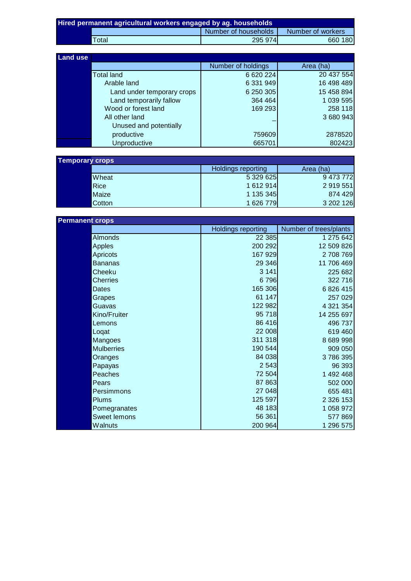| Hired permanent agricultural workers engaged by ag. households |                  |                      |                   |
|----------------------------------------------------------------|------------------|----------------------|-------------------|
|                                                                |                  | Number of households | Number of workers |
|                                                                | $\mathsf{Total}$ | 295 974              | 660 180           |

| <b>Land use</b> |                            |                    |            |
|-----------------|----------------------------|--------------------|------------|
|                 |                            | Number of holdings | Area (ha)  |
|                 | <b>Total land</b>          | 6 620 224          | 20 437 554 |
|                 | Arable land                | 6 331 949          | 16 498 489 |
|                 | Land under temporary crops | 6 250 305          | 15 458 894 |
|                 | Land temporarily fallow    | 364 464            | 1 039 595  |
|                 | Wood or forest land        | 169 293            | 258 118    |
|                 | All other land             |                    | 3 680 943  |
|                 | Unused and potentially     |                    |            |
|                 | productive                 | 759609             | 2878520    |
|                 | Unproductive               | 665701             | 802423     |

| <b>Temporary crops</b> |               |                           |           |
|------------------------|---------------|---------------------------|-----------|
|                        |               | <b>Holdings reporting</b> | Area (ha) |
|                        | <b>Wheat</b>  | 5 329 625                 | 9 473 772 |
|                        | Rice          | 1 612 914                 | 2 919 551 |
|                        | Maize         | 1 135 345                 | 874 429   |
|                        | <b>Cotton</b> | 1 626 779                 | 3 202 126 |

| <b>Permanent crops</b> |                           |                        |  |
|------------------------|---------------------------|------------------------|--|
|                        | <b>Holdings reporting</b> | Number of trees/plants |  |
| Almonds                | 22 385                    | 1 275 642              |  |
| Apples                 | 200 292                   | 12 509 826             |  |
| Apricots               | 167 929                   | 2708769                |  |
| <b>Bananas</b>         | 29 346                    | 11 706 469             |  |
| Cheeku                 | 3 1 4 1                   | 225 682                |  |
| <b>Cherries</b>        | 6796                      | 322 716                |  |
| Dates                  | 165 306                   | 6 826 415              |  |
| Grapes                 | 61 147                    | 257 029                |  |
| Guavas                 | 122 982                   | 4 321 354              |  |
| Kino/Fruiter           | 95 718                    | 14 255 697             |  |
| Lemons                 | 86 416                    | 496 737                |  |
| Logat                  | 22 008                    | 619 460                |  |
| Mangoes                | 311 318                   | 8 689 998              |  |
| <b>Mulberries</b>      | 190 544                   | 909 050                |  |
| Oranges                | 84 038                    | 3786395                |  |
| Papayas                | 2 5 4 3                   | 96 393                 |  |
| Peaches                | 72 504                    | 1 492 468              |  |
| Pears                  | 87 863                    | 502 000                |  |
| Persimmons             | 27 048                    | 655 481                |  |
| <b>Plums</b>           | 125 597                   | 2 3 2 6 1 5 3          |  |
| Pomegranates           | 48 183                    | 1 058 972              |  |
| Sweet lemons           | 56 361                    | 577 869                |  |
| Walnuts                | 200 964                   | 1 296 575              |  |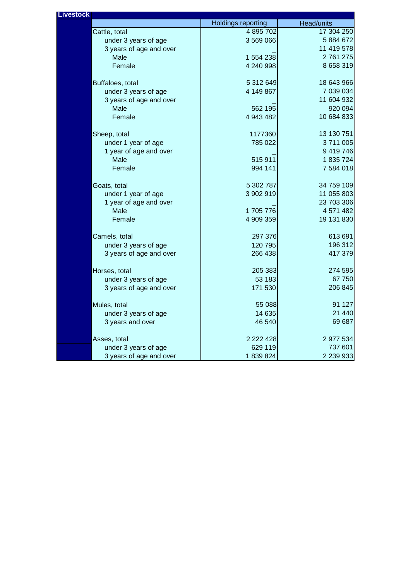| <b>Livestock</b> |                         |                           |            |
|------------------|-------------------------|---------------------------|------------|
|                  |                         | <b>Holdings reporting</b> | Head/units |
|                  | Cattle, total           | 4 895 702                 | 17 304 250 |
|                  | under 3 years of age    | 3 569 066                 | 5 884 672  |
|                  | 3 years of age and over |                           | 11 419 578 |
|                  | Male                    | 1 554 238                 | 2 761 275  |
|                  | Female                  | 4 240 998                 | 8 658 319  |
|                  | Buffaloes, total        | 5 312 649                 | 18 643 966 |
|                  | under 3 years of age    | 4 149 867                 | 7 039 034  |
|                  | 3 years of age and over |                           | 11 604 932 |
|                  | Male                    | 562 195                   | 920 094    |
|                  | Female                  | 4 943 482                 | 10 684 833 |
|                  | Sheep, total            | 1177360                   | 13 130 751 |
|                  | under 1 year of age     | 785 022                   | 3711005    |
|                  | 1 year of age and over  |                           | 9 419 746  |
|                  | Male                    | 515 911                   | 1 835 724  |
|                  | Female                  | 994 141                   | 7 584 018  |
|                  | Goats, total            | 5 302 787                 | 34 759 109 |
|                  | under 1 year of age     | 3 902 919                 | 11 055 803 |
|                  | 1 year of age and over  |                           | 23 703 306 |
|                  | Male                    | 1705776                   | 4 571 482  |
|                  | Female                  | 4 909 359                 | 19 131 830 |
|                  | Camels, total           | 297 376                   | 613 691    |
|                  | under 3 years of age    | 120 795                   | 196 312    |
|                  | 3 years of age and over | 266 438                   | 417 379    |
|                  | Horses, total           | 205 383                   | 274 595    |
|                  | under 3 years of age    | 53 183                    | 67750      |
|                  | 3 years of age and over | 171 530                   | 206 845    |
|                  | Mules, total            | 55 088                    | 91 127     |
|                  | under 3 years of age    | 14 635                    | 21 4 4 0   |
|                  | 3 years and over        | 46 540                    | 69 687     |
|                  | Asses, total            | 2 2 2 4 2 8               | 2 977 534  |
|                  | under 3 years of age    | 629 119                   | 737 601    |
|                  | 3 years of age and over | 1839824                   | 2 239 933  |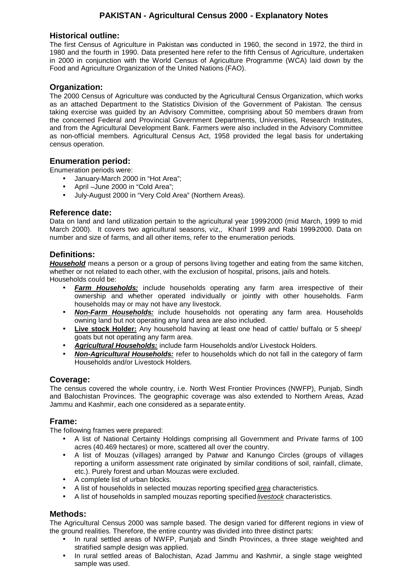# **PAKISTAN - Agricultural Census 2000 - Explanatory Notes**

#### **Historical outline:**

The first Census of Agriculture in Pakistan was conducted in 1960, the second in 1972, the third in 1980 and the fourth in 1990. Data presented here refer to the fifth Census of Agriculture, undertaken in 2000 in conjunction with the World Census of Agriculture Programme (WCA) laid down by the Food and Agriculture Organization of the United Nations (FAO).

#### **Organization:**

The 2000 Census of Agriculture was conducted by the Agricultural Census Organization, which works as an attached Department to the Statistics Division of the Government of Pakistan. The census taking exercise was guided by an Advisory Committee, comprising about 50 members drawn from the concerned Federal and Provincial Government Departments, Universities, Research Institutes, and from the Agricultural Development Bank. Farmers were also included in the Advisory Committee as non-official members. Agricultural Census Act, 1958 provided the legal basis for undertaking census operation.

## **Enumeration period:**

Enumeration periods were:

- January-March 2000 in "Hot Area";
- April –June 2000 in "Cold Area";
- July-August 2000 in "Very Cold Area" (Northern Areas).

## **Reference date:**

Data on land and land utilization pertain to the agricultural year 1999-2000 (mid March, 1999 to mid March 2000). It covers two agricultural seasons, viz,, Kharif 1999 and Rabi 1999-2000. Data on number and size of farms, and all other items, refer to the enumeration periods.

#### **Definitions:**

*Household* means a person or a group of persons living together and eating from the same kitchen, whether or not related to each other, with the exclusion of hospital, prisons, jails and hotels. Households could be:

- *Farm Households:* include households operating any farm area irrespective of their ownership and whether operated individually or jointly with other households. Farm households may or may not have any livestock.
- *Non-Farm Households:* include households not operating any farm area. Households owning land but not operating any land area are also included.
- **Live stock Holder:** Any household having at least one head of cattle/ buffalo or 5 sheep/ goats but not operating any farm area.
- *Agricultural Households:* include farm Households and/or Livestock Holders.
- *Non-Agricultural Households:* refer to households which do not fall in the category of farm Households and/or Livestock Holders.

#### **Coverage:**

The census covered the whole country, i.e. North West Frontier Provinces (NWFP), Punjab, Sindh and Balochistan Provinces. The geographic coverage was also extended to Northern Areas, Azad Jammu and Kashmir, each one considered as a separate entity.

#### **Frame:**

The following frames were prepared:

- A list of National Certainty Holdings comprising all Government and Private farms of 100 acres (40.469 hectares) or more, scattered all over the country.
- A list of Mouzas (villages) arranged by Patwar and Kanungo Circles (groups of villages reporting a uniform assessment rate originated by similar conditions of soil, rainfall, climate, etc.). Purely forest and urban Mouzas were excluded.
- A complete list of urban blocks.
- A list of households in selected mouzas reporting specified *area* characteristics.
- A list of households in sampled mouzas reporting specified *livestock* characteristics.

#### **Methods:**

The Agricultural Census 2000 was sample based. The design varied for different regions in view of the ground realities. Therefore, the entire country was divided into three distinct parts:

- In rural settled areas of NWFP, Punjab and Sindh Provinces, a three stage weighted and stratified sample design was applied.
- In rural settled areas of Balochistan, Azad Jammu and Kashmir, a single stage weighted sample was used.